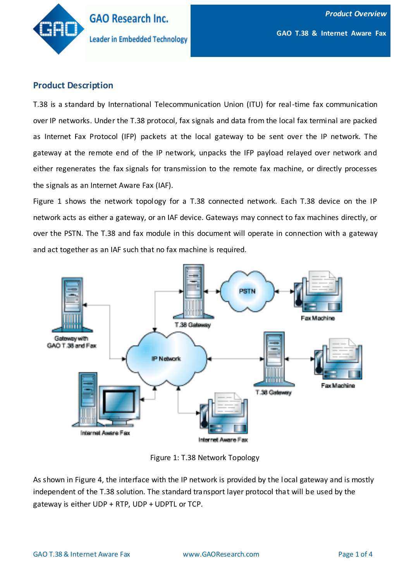

### **Product Description**

T.38 is a standard by International Telecommunication Union (ITU) for real-time fax communication over IP networks. Under the T.38 protocol, fax signals and data from the local fax terminal are packed as Internet Fax Protocol (IFP) packets at the local gateway to be sent over the IP network. The gateway at the remote end of the IP network, unpacks the IFP payload relayed over network and either regenerates the fax signals for transmission to the remote fax machine, or directly processes the signals as an Internet Aware Fax (IAF).

Figure 1 shows the network topology for a T.38 connected network. Each T.38 device on the IP network acts as either a gateway, or an IAF device. Gateways may connect to fax machines directly, or over the PSTN. The T.38 and fax module in this document will operate in connection with a gateway and act together as an IAF such that no fax machine is required.



Figure 1: T.38 Network Topology

As shown in Figure 4, the interface with the IP network is provided by the local gateway and is mostly independent of the T.38 solution. The standard transport layer protocol that will be used by the gateway is either UDP + RTP, UDP + UDPTL or TCP.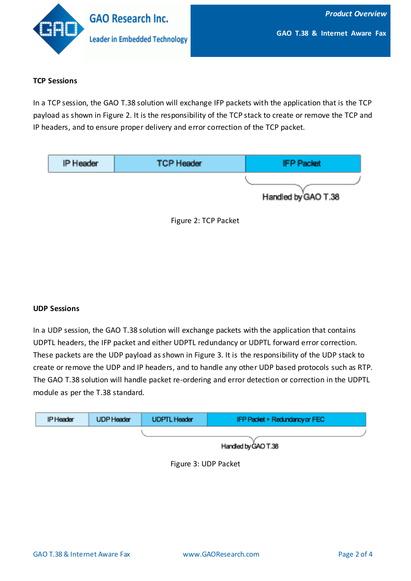

### **TCP Sessions**

In a TCP session, the GAO T.38 solution will exchange IFP packets with the application that is the TCP payload as shown in Figure 2. It is the responsibility of the TCP stack to create or remove the TCP and IP headers, and to ensure proper delivery and error correction of the TCP packet.

| IP Header | <b>TCP Header</b> | <b>IFP Packet</b>   |
|-----------|-------------------|---------------------|
|           |                   |                     |
|           |                   | Handled by GAO T.38 |



#### **UDP Sessions**

In a UDP session, the GAO T.38 solution will exchange packets with the application that contains UDPTL headers, the IFP packet and either UDPTL redundancy or UDPTL forward error correction. These packets are the UDP payload as shown in Figure 3. It is the responsibility of the UDP stack to create or remove the UDP and IP headers, and to handle any other UDP based protocols such as RTP. The GAO T.38 solution will handle packet re-ordering and error detection or correction in the UDPTL module as per the T.38 standard.

| IP Header | <b>UDP Header</b> | <b>UDPTL Header</b> | IFP Packet + Redundancy or FEC |
|-----------|-------------------|---------------------|--------------------------------|
|           |                   |                     |                                |
|           |                   | Handled by GAO T.38 |                                |

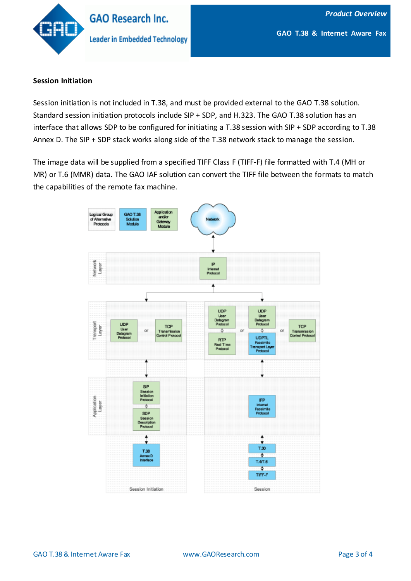

#### **Session Initiation**

Session initiation is not included in T.38, and must be provided external to the GAO T.38 solution. Standard session initiation protocols include SIP + SDP, and H.323. The GAO T.38 solution has an interface that allows SDP to be configured for initiating a T.38 session with SIP + SDP according to T.38 Annex D. The SIP + SDP stack works along side of the T.38 network stack to manage the session.

The image data will be supplied from a specified TIFF Class F (TIFF-F) file formatted with T.4 (MH or MR) or T.6 (MMR) data. The GAO IAF solution can convert the TIFF file between the formats to match the capabilities of the remote fax machine.